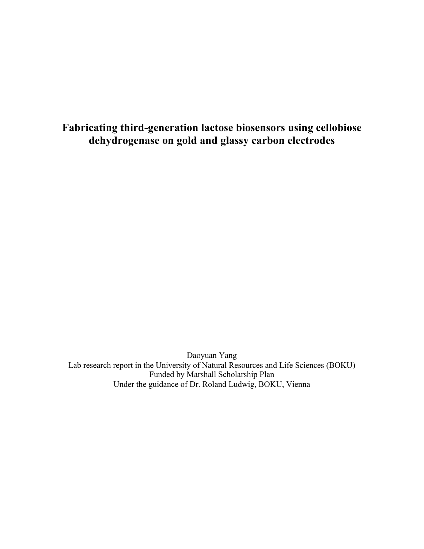# **Fabricating third-generation lactose biosensors using cellobiose dehydrogenase on gold and glassy carbon electrodes**

Daoyuan Yang Lab research report in the University of Natural Resources and Life Sciences (BOKU) Funded by Marshall Scholarship Plan Under the guidance of Dr. Roland Ludwig, BOKU, Vienna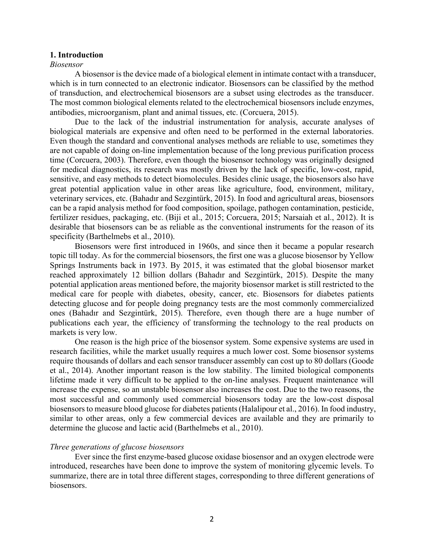#### **1. Introduction**

#### *Biosensor*

A biosensor is the device made of a biological element in intimate contact with a transducer, which is in turn connected to an electronic indicator. Biosensors can be classified by the method of transduction, and electrochemical biosensors are a subset using electrodes as the transducer. The most common biological elements related to the electrochemical biosensors include enzymes, antibodies, microorganism, plant and animal tissues, etc. (Corcuera, 2015).

Due to the lack of the industrial instrumentation for analysis, accurate analyses of biological materials are expensive and often need to be performed in the external laboratories. Even though the standard and conventional analyses methods are reliable to use, sometimes they are not capable of doing on-line implementation because of the long previous purification process time (Corcuera, 2003). Therefore, even though the biosensor technology was originally designed for medical diagnostics, its research was mostly driven by the lack of specific, low-cost, rapid, sensitive, and easy methods to detect biomolecules. Besides clinic usage, the biosensors also have great potential application value in other areas like agriculture, food, environment, military, veterinary services, etc. (Bahadır and Sezgintürk, 2015). In food and agricultural areas, biosensors can be a rapid analysis method for food composition, spoilage, pathogen contamination, pesticide, fertilizer residues, packaging, etc. (Biji et al., 2015; Corcuera, 2015; Narsaiah et al., 2012). It is desirable that biosensors can be as reliable as the conventional instruments for the reason of its specificity (Barthelmebs et al., 2010).

Biosensors were first introduced in 1960s, and since then it became a popular research topic till today. As for the commercial biosensors, the first one was a glucose biosensor by Yellow Springs Instruments back in 1973. By 2015, it was estimated that the global biosensor market reached approximately 12 billion dollars (Bahadır and Sezgintürk, 2015). Despite the many potential application areas mentioned before, the majority biosensor market is still restricted to the medical care for people with diabetes, obesity, cancer, etc. Biosensors for diabetes patients detecting glucose and for people doing pregnancy tests are the most commonly commercialized ones (Bahadır and Sezgintürk, 2015). Therefore, even though there are a huge number of publications each year, the efficiency of transforming the technology to the real products on markets is very low.

One reason is the high price of the biosensor system. Some expensive systems are used in research facilities, while the market usually requires a much lower cost. Some biosensor systems require thousands of dollars and each sensor transducer assembly can cost up to 80 dollars (Goode et al., 2014). Another important reason is the low stability. The limited biological components lifetime made it very difficult to be applied to the on-line analyses. Frequent maintenance will increase the expense, so an unstable biosensor also increases the cost. Due to the two reasons, the most successful and commonly used commercial biosensors today are the low-cost disposal biosensors to measure blood glucose for diabetes patients(Halalipour et al., 2016). In food industry, similar to other areas, only a few commercial devices are available and they are primarily to determine the glucose and lactic acid (Barthelmebs et al., 2010).

#### *Three generations of glucose biosensors*

Ever since the first enzyme-based glucose oxidase biosensor and an oxygen electrode were introduced, researches have been done to improve the system of monitoring glycemic levels. To summarize, there are in total three different stages, corresponding to three different generations of biosensors.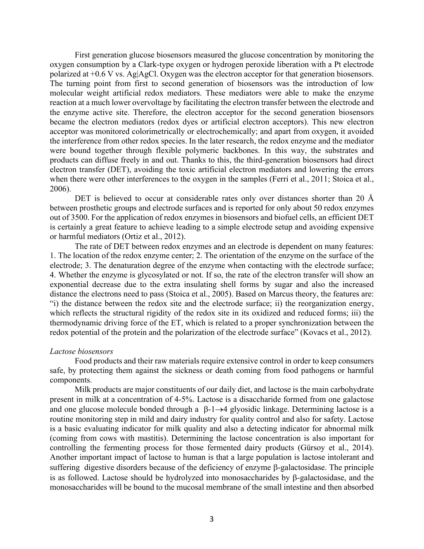First generation glucose biosensors measured the glucose concentration by monitoring the oxygen consumption by a Clark-type oxygen or hydrogen peroxide liberation with a Pt electrode polarized at +0.6 V vs. Ag|AgCl. Oxygen was the electron acceptor for that generation biosensors. The turning point from first to second generation of biosensors was the introduction of low molecular weight artificial redox mediators. These mediators were able to make the enzyme reaction at a much lower overvoltage by facilitating the electron transfer between the electrode and the enzyme active site. Therefore, the electron acceptor for the second generation biosensors became the electron mediators (redox dyes or artificial electron acceptors). This new electron acceptor was monitored colorimetrically or electrochemically; and apart from oxygen, it avoided the interference from other redox species. In the later research, the redox enzyme and the mediator were bound together through flexible polymeric backbones. In this way, the substrates and products can diffuse freely in and out. Thanks to this, the third-generation biosensors had direct electron transfer (DET), avoiding the toxic artificial electron mediators and lowering the errors when there were other interferences to the oxygen in the samples (Ferri et al., 2011; Stoica et al., 2006).

DET is believed to occur at considerable rates only over distances shorter than 20 Å between prosthetic groups and electrode surfaces and is reported for only about 50 redox enzymes out of 3500. For the application of redox enzymes in biosensors and biofuel cells, an efficient DET is certainly a great feature to achieve leading to a simple electrode setup and avoiding expensive or harmful mediators (Ortiz et al., 2012).

The rate of DET between redox enzymes and an electrode is dependent on many features: 1. The location of the redox enzyme center; 2. The orientation of the enzyme on the surface of the electrode; 3. The denaturation degree of the enzyme when contacting with the electrode surface; 4. Whether the enzyme is glycosylated or not. If so, the rate of the electron transfer will show an exponential decrease due to the extra insulating shell forms by sugar and also the increased distance the electrons need to pass (Stoica et al., 2005). Based on Marcus theory, the features are: "i) the distance between the redox site and the electrode surface; ii) the reorganization energy, which reflects the structural rigidity of the redox site in its oxidized and reduced forms; iii) the thermodynamic driving force of the ET, which is related to a proper synchronization between the redox potential of the protein and the polarization of the electrode surface" (Kovacs et al., 2012).

#### *Lactose biosensors*

Food products and their raw materials require extensive control in order to keep consumers safe, by protecting them against the sickness or death coming from food pathogens or harmful components.

Milk products are major constituents of our daily diet, and lactose is the main carbohydrate present in milk at a concentration of 4-5%. Lactose is a disaccharide formed from one galactose and one glucose molecule bonded through a  $\beta$ -1 $\rightarrow$ 4 glyosidic linkage. Determining lactose is a routine monitoring step in mild and dairy industry for quality control and also for safety. Lactose is a basic evaluating indicator for milk quality and also a detecting indicator for abnormal milk (coming from cows with mastitis). Determining the lactose concentration is also important for controlling the fermenting process for those fermented dairy products (Gürsoy et al., 2014). Another important impact of lactose to human is that a large population is lactose intolerant and suffering digestive disorders because of the deficiency of enzyme  $\beta$ -galactosidase. The principle is as followed. Lactose should be hydrolyzed into monosaccharides by b-galactosidase, and the monosaccharides will be bound to the mucosal membrane of the small intestine and then absorbed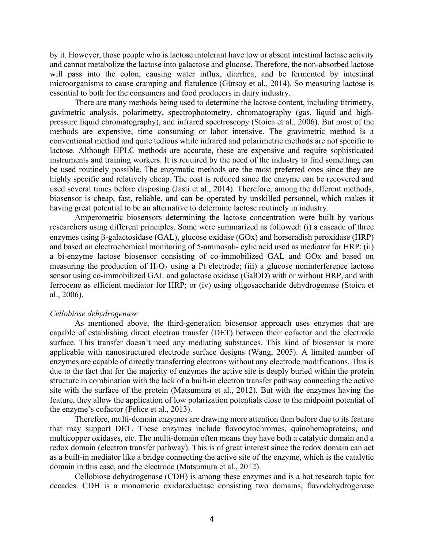by it. However, those people who is lactose intolerant have low or absent intestinal lactase activity and cannot metabolize the lactose into galactose and glucose. Therefore, the non-absorbed lactose will pass into the colon, causing water influx, diarrhea, and be fermented by intestinal microorganisms to cause cramping and flatulence (Gürsoy et al., 2014). So measuring lactose is essential to both for the consumers and food producers in dairy industry.

There are many methods being used to determine the lactose content, including titrimetry, gavimetric analysis, polarimetry, spectrophotometry, chromatography (gas, liquid and highpressure liquid chromatography), and infrared spectroscopy (Stoica et al., 2006). But most of the methods are expensive, time consuming or labor intensive. The gravimetric method is a conventional method and quite tedious while infrared and polarimetric methods are not specific to lactose. Although HPLC methods are accurate, these are expensive and require sophisticated instruments and training workers. It is required by the need of the industry to find something can be used routinely possible. The enzymatic methods are the most preferred ones since they are highly specific and relatively cheap. The cost is reduced since the enzyme can be recovered and used several times before disposing (Jasti et al., 2014). Therefore, among the different methods, biosensor is cheap, fast, reliable, and can be operated by unskilled personnel, which makes it having great potential to be an alternative to determine lactose routinely in industry.

Amperometric biosensors determining the lactose concentration were built by various researchers using different principles. Some were summarized as followed: (i) a cascade of three enzymes using  $\beta$ -galactosidase (GAL), glucose oxidase (GOx) and horseradish peroxidase (HRP) and based on electrochemical monitoring of 5-aminosali- cylic acid used as mediator for HRP; (ii) a bi-enzyme lactose biosensor consisting of co-immobilized GAL and GOx and based on measuring the production of  $H_2O_2$  using a Pt electrode; (iii) a glucose noninterference lactose sensor using co-immobilized GAL and galactose oxidase (GalOD) with or without HRP, and with ferrocene as efficient mediator for HRP; or (iv) using oligosaccharide dehydrogenase (Stoica et al., 2006).

#### *Cellobiose dehydrogenase*

As mentioned above, the third-generation biosensor approach uses enzymes that are capable of establishing direct electron transfer (DET) between their cofactor and the electrode surface. This transfer doesn't need any mediating substances. This kind of biosensor is more applicable with nanostructured electrode surface designs (Wang, 2005). A limited number of enzymes are capable of directly transferring electrons without any electrode modifications. This is due to the fact that for the majority of enzymes the active site is deeply buried within the protein structure in combination with the lack of a built-in electron transfer pathway connecting the active site with the surface of the protein (Matsumura et al., 2012). But with the enzymes having the feature, they allow the application of low polarization potentials close to the midpoint potential of the enzyme's cofactor (Felice et al., 2013).

Therefore, multi-domain enzymes are drawing more attention than before due to its feature that may support DET. These enzymes include flavocytochromes, quinohemoproteins, and multicopper oxidases, etc. The multi-domain often means they have both a catalytic domain and a redox domain (electron transfer pathway). This is of great interest since the redox domain can act as a built-in mediator like a bridge connecting the active site of the enzyme, which is the catalytic domain in this case, and the electrode (Matsumura et al., 2012).

Cellobiose dehydrogenase (CDH) is among these enzymes and is a hot research topic for decades. CDH is a monomeric oxidoreductase consisting two domains, flavodehydrogenase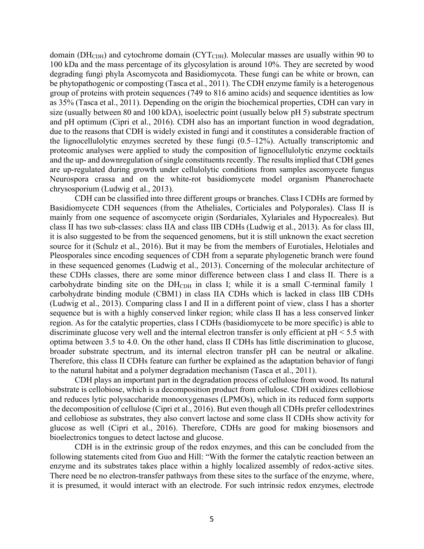domain ( $DH<sub>CDH</sub>$ ) and cytochrome domain ( $CYT<sub>CDH</sub>$ ). Molecular masses are usually within 90 to 100 kDa and the mass percentage of its glycosylation is around 10%. They are secreted by wood degrading fungi phyla Ascomycota and Basidiomycota. These fungi can be white or brown, can be phytopathogenic or composting (Tasca et al., 2011). The CDH enzyme family is a heterogenous group of proteins with protein sequences (749 to 816 amino acids) and sequence identities as low as 35% (Tasca et al., 2011). Depending on the origin the biochemical properties, CDH can vary in size (usually between 80 and 100 kDA), isoelectric point (usually below pH 5) substrate spectrum and pH optimum (Cipri et al., 2016). CDH also has an important function in wood degradation, due to the reasons that CDH is widely existed in fungi and it constitutes a considerable fraction of the lignocellulolytic enzymes secreted by these fungi (0.5–12%). Actually transcriptomic and proteomic analyses were applied to study the composition of lignocellulolytic enzyme cocktails and the up- and downregulation of single constituents recently. The results implied that CDH genes are up-regulated during growth under cellulolytic conditions from samples ascomycete fungus Neurospora crassa and on the white-rot basidiomycete model organism Phanerochaete chrysosporium (Ludwig et al., 2013).

CDH can be classified into three different groups or branches. Class I CDHs are formed by Basidiomycete CDH sequences (from the Atheliales, Corticiales and Polyporales). Class II is mainly from one sequence of ascomycete origin (Sordariales, Xylariales and Hypocreales). But class II has two sub-classes: class IIA and class IIB CDHs (Ludwig et al., 2013). As for class III, it is also suggested to be from the sequenced genomens, but it is still unknown the exact secretion source for it (Schulz et al., 2016). But it may be from the members of Eurotiales, Helotiales and Pleosporales since encoding sequences of CDH from a separate phylogenetic branch were found in these sequenced genomes (Ludwig et al., 2013). Concerning of the molecular architecture of these CDHs classes, there are some minor difference between class I and class II. There is a carbohydrate binding site on the DH<sub>CDH</sub> in class I; while it is a small C-terminal family 1 carbohydrate binding module (CBM1) in class IIA CDHs which is lacked in class IIB CDHs (Ludwig et al., 2013). Comparing class I and II in a different point of view, class I has a shorter sequence but is with a highly conserved linker region; while class II has a less conserved linker region. As for the catalytic properties, class I CDHs (basidiomycete to be more specific) is able to discriminate glucose very well and the internal electron transfer is only efficient at pH < 5.5 with optima between 3.5 to 4.0. On the other hand, class II CDHs has little discrimination to glucose, broader substrate spectrum, and its internal electron transfer pH can be neutral or alkaline. Therefore, this class II CDHs feature can further be explained as the adaptation behavior of fungi to the natural habitat and a polymer degradation mechanism (Tasca et al., 2011).

CDH plays an important part in the degradation process of cellulose from wood. Its natural substrate is cellobiose, which is a decomposition product from cellulose. CDH oxidizes cellobiose and reduces lytic polysaccharide monooxygenases (LPMOs), which in its reduced form supports the decomposition of cellulose (Cipri et al., 2016). But even though all CDHs prefer cellodextrines and cellobiose as substrates, they also convert lactose and some class II CDHs show activity for glucose as well (Cipri et al., 2016). Therefore, CDHs are good for making biosensors and bioelectronics tongues to detect lactose and glucose.

CDH is in the extrinsic group of the redox enzymes, and this can be concluded from the following statements cited from Guo and Hill: "With the former the catalytic reaction between an enzyme and its substrates takes place within a highly localized assembly of redox-active sites. There need be no electron-transfer pathways from these sites to the surface of the enzyme, where, it is presumed, it would interact with an electrode. For such intrinsic redox enzymes, electrode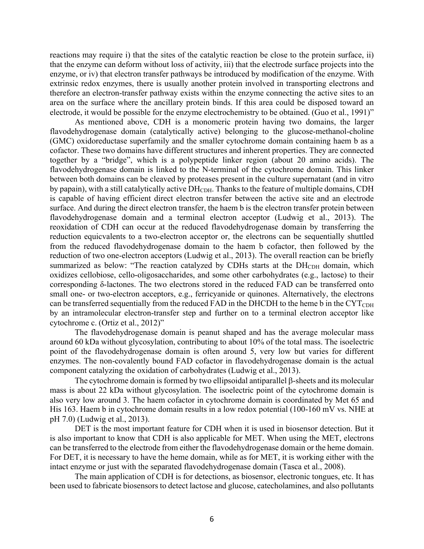reactions may require i) that the sites of the catalytic reaction be close to the protein surface, ii) that the enzyme can deform without loss of activity, iii) that the electrode surface projects into the enzyme, or iv) that electron transfer pathways be introduced by modification of the enzyme. With extrinsic redox enzymes, there is usually another protein involved in transporting electrons and therefore an electron-transfer pathway exists within the enzyme connecting the active sites to an area on the surface where the ancillary protein binds. If this area could be disposed toward an electrode, it would be possible for the enzyme electrochemistry to be obtained. (Guo et al., 1991)"

As mentioned above, CDH is a monomeric protein having two domains, the larger flavodehydrogenase domain (catalytically active) belonging to the glucose-methanol-choline (GMC) oxidoreductase superfamily and the smaller cytochrome domain containing haem b as a cofactor. These two domains have different structures and inherent properties. They are connected together by a "bridge", which is a polypeptide linker region (about 20 amino acids). The flavodehydrogenase domain is linked to the N-terminal of the cytochrome domain. This linker between both domains can be cleaved by proteases present in the culture supernatant (and in vitro by papain), with a still catalytically active DH<sub>CDH</sub>. Thanks to the feature of multiple domains, CDH is capable of having efficient direct electron transfer between the active site and an electrode surface. And during the direct electron transfer, the haem b is the electron transfer protein between flavodehydrogenase domain and a terminal electron acceptor (Ludwig et al., 2013). The reoxidation of CDH can occur at the reduced flavodehydrogenase domain by transferring the reduction equicvalents to a two-electron acceptor or, the electrons can be sequentially shuttled from the reduced flavodehydrogenase domain to the haem b cofactor, then followed by the reduction of two one-electron acceptors (Ludwig et al., 2013). The overall reaction can be briefly summarized as below: "The reaction catalyzed by CDHs starts at the  $DH<sub>CDH</sub>$  domain, which oxidizes cellobiose, cello-oligosaccharides, and some other carbohydrates (e.g., lactose) to their corresponding δ-lactones. The two electrons stored in the reduced FAD can be transferred onto small one- or two-electron acceptors, e.g., ferricyanide or quinones. Alternatively, the electrons can be transferred sequentially from the reduced FAD in the DHCDH to the heme b in the  $\text{CYT}_{\text{CDH}}$ by an intramolecular electron-transfer step and further on to a terminal electron acceptor like cytochrome c. (Ortiz et al., 2012)"

The flavodehydrogenase domain is peanut shaped and has the average molecular mass around 60 kDa without glycosylation, contributing to about 10% of the total mass. The isoelectric point of the flavodehydrogenase domain is often around 5, very low but varies for different enzymes. The non-covalently bound FAD cofactor in flavodehydrogenase domain is the actual component catalyzing the oxidation of carbohydrates (Ludwig et al., 2013).

The cytochrome domain is formed by two ellipsoidal antiparallel  $\beta$ -sheets and its molecular mass is about 22 kDa without glycosylation. The isoelectric point of the cytochrome domain is also very low around 3. The haem cofactor in cytochrome domain is coordinated by Met 65 and His 163. Haem b in cytochrome domain results in a low redox potential (100-160 mV vs. NHE at pH 7.0) (Ludwig et al., 2013).

DET is the most important feature for CDH when it is used in biosensor detection. But it is also important to know that CDH is also applicable for MET. When using the MET, electrons can be transferred to the electrode from either the flavodehydrogenase domain or the heme domain. For DET, it is necessary to have the heme domain, while as for MET, it is working either with the intact enzyme or just with the separated flavodehydrogenase domain (Tasca et al., 2008).

The main application of CDH is for detections, as biosensor, electronic tongues, etc. It has been used to fabricate biosensors to detect lactose and glucose, catecholamines, and also pollutants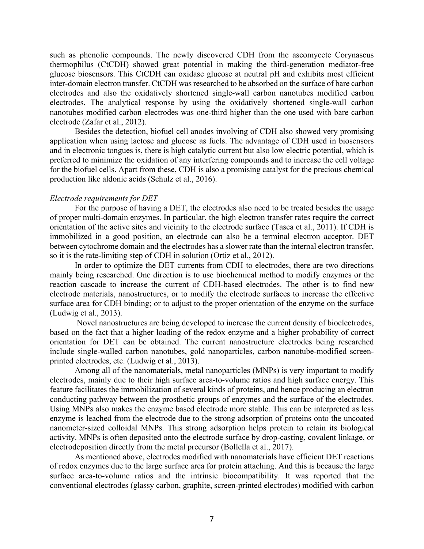such as phenolic compounds. The newly discovered CDH from the ascomycete Corynascus thermophilus (CtCDH) showed great potential in making the third-generation mediator-free glucose biosensors. This CtCDH can oxidase glucose at neutral pH and exhibits most efficient inter-domain electron transfer. CtCDH was researched to be absorbed on the surface of bare carbon electrodes and also the oxidatively shortened single-wall carbon nanotubes modified carbon electrodes. The analytical response by using the oxidatively shortened single-wall carbon nanotubes modified carbon electrodes was one-third higher than the one used with bare carbon electrode (Zafar et al., 2012).

Besides the detection, biofuel cell anodes involving of CDH also showed very promising application when using lactose and glucose as fuels. The advantage of CDH used in biosensors and in electronic tongues is, there is high catalytic current but also low electric potential, which is preferred to minimize the oxidation of any interfering compounds and to increase the cell voltage for the biofuel cells. Apart from these, CDH is also a promising catalyst for the precious chemical production like aldonic acids (Schulz et al., 2016).

#### *Electrode requirements for DET*

For the purpose of having a DET, the electrodes also need to be treated besides the usage of proper multi-domain enzymes. In particular, the high electron transfer rates require the correct orientation of the active sites and vicinity to the electrode surface (Tasca et al., 2011). If CDH is immobilized in a good position, an electrode can also be a terminal electron acceptor. DET between cytochrome domain and the electrodes has a slower rate than the internal electron transfer, so it is the rate-limiting step of CDH in solution (Ortiz et al., 2012).

In order to optimize the DET currents from CDH to electrodes, there are two directions mainly being researched. One direction is to use biochemical method to modify enzymes or the reaction cascade to increase the current of CDH-based electrodes. The other is to find new electrode materials, nanostructures, or to modify the electrode surfaces to increase the effective surface area for CDH binding; or to adjust to the proper orientation of the enzyme on the surface (Ludwig et al., 2013).

Novel nanostructures are being developed to increase the current density of bioelectrodes, based on the fact that a higher loading of the redox enzyme and a higher probability of correct orientation for DET can be obtained. The current nanostructure electrodes being researched include single-walled carbon nanotubes, gold nanoparticles, carbon nanotube-modified screenprinted electrodes, etc. (Ludwig et al., 2013).

Among all of the nanomaterials, metal nanoparticles (MNPs) is very important to modify electrodes, mainly due to their high surface area-to-volume ratios and high surface energy. This feature facilitates the immobilization of several kinds of proteins, and hence producing an electron conducting pathway between the prosthetic groups of enzymes and the surface of the electrodes. Using MNPs also makes the enzyme based electrode more stable. This can be interpreted as less enzyme is leached from the electrode due to the strong adsorption of proteins onto the uncoated nanometer-sized colloidal MNPs. This strong adsorption helps protein to retain its biological activity. MNPs is often deposited onto the electrode surface by drop-casting, covalent linkage, or electrodeposition directly from the metal precursor (Bollella et al., 2017).

As mentioned above, electrodes modified with nanomaterials have efficient DET reactions of redox enzymes due to the large surface area for protein attaching. And this is because the large surface area-to-volume ratios and the intrinsic biocompatibility. It was reported that the conventional electrodes (glassy carbon, graphite, screen-printed electrodes) modified with carbon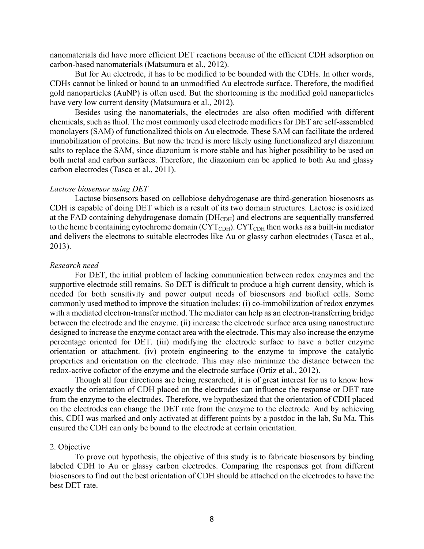nanomaterials did have more efficient DET reactions because of the efficient CDH adsorption on carbon-based nanomaterials (Matsumura et al., 2012).

But for Au electrode, it has to be modified to be bounded with the CDHs. In other words, CDHs cannot be linked or bound to an unmodified Au electrode surface. Therefore, the modified gold nanoparticles (AuNP) is often used. But the shortcoming is the modified gold nanoparticles have very low current density (Matsumura et al., 2012).

Besides using the nanomaterials, the electrodes are also often modified with different chemicals, such as thiol. The most commonly used electrode modifiers for DET are self-assembled monolayers (SAM) of functionalized thiols on Au electrode. These SAM can facilitate the ordered immobilization of proteins. But now the trend is more likely using functionalized aryl diazonium salts to replace the SAM, since diazonium is more stable and has higher possibility to be used on both metal and carbon surfaces. Therefore, the diazonium can be applied to both Au and glassy carbon electrodes (Tasca et al., 2011).

#### *Lactose biosensor using DET*

Lactose biosensors based on cellobiose dehydrogenase are third-generation biosenosrs as CDH is capable of doing DET which is a result of its two domain structures. Lactose is oxidized at the FAD containing dehydrogenase domain  $(DH_{CDH})$  and electrons are sequentially transferred to the heme b containing cytochrome domain  $\left(\frac{CYT_{CDH}}{CYT_{CDH}}\right)$ . CYT<sub>CDH</sub> then works as a built-in mediator and delivers the electrons to suitable electrodes like Au or glassy carbon electrodes (Tasca et al., 2013).

#### *Research need*

For DET, the initial problem of lacking communication between redox enzymes and the supportive electrode still remains. So DET is difficult to produce a high current density, which is needed for both sensitivity and power output needs of biosensors and biofuel cells. Some commonly used method to improve the situation includes: (i) co-immobilization of redox enzymes with a mediated electron-transfer method. The mediator can help as an electron-transferring bridge between the electrode and the enzyme. (ii) increase the electrode surface area using nanostructure designed to increase the enzyme contact area with the electrode. This may also increase the enzyme percentage oriented for DET. (iii) modifying the electrode surface to have a better enzyme orientation or attachment. (iv) protein engineering to the enzyme to improve the catalytic properties and orientation on the electrode. This may also minimize the distance between the redox-active cofactor of the enzyme and the electrode surface (Ortiz et al., 2012).

Though all four directions are being researched, it is of great interest for us to know how exactly the orientation of CDH placed on the electrodes can influence the response or DET rate from the enzyme to the electrodes. Therefore, we hypothesized that the orientation of CDH placed on the electrodes can change the DET rate from the enzyme to the electrode. And by achieving this, CDH was marked and only activated at different points by a postdoc in the lab, Su Ma. This ensured the CDH can only be bound to the electrode at certain orientation.

#### 2. Objective

To prove out hypothesis, the objective of this study is to fabricate biosensors by binding labeled CDH to Au or glassy carbon electrodes. Comparing the responses got from different biosensors to find out the best orientation of CDH should be attached on the electrodes to have the best DET rate.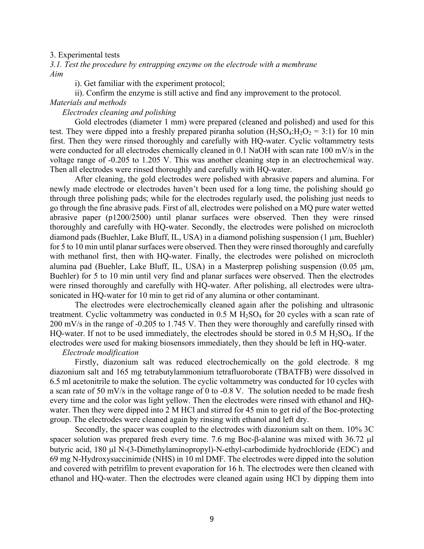#### 3. Experimental tests

*3.1. Test the procedure by entrapping enzyme on the electrode with a membrane Aim*

i). Get familiar with the experiment protocol;

ii). Confirm the enzyme is still active and find any improvement to the protocol.

# *Materials and methods*

*Electrodes cleaning and polishing*

Gold electrodes (diameter 1 mm) were prepared (cleaned and polished) and used for this test. They were dipped into a freshly prepared piranha solution  $(H_2SO_4:H_2O_2 = 3:1)$  for 10 min first. Then they were rinsed thoroughly and carefully with HQ-water. Cyclic voltammetry tests were conducted for all electrodes chemically cleaned in 0.1 NaOH with scan rate 100 mV/s in the voltage range of -0.205 to 1.205 V. This was another cleaning step in an electrochemical way. Then all electrodes were rinsed thoroughly and carefully with HQ-water.

After cleaning, the gold electrodes were polished with abrasive papers and alumina. For newly made electrode or electrodes haven't been used for a long time, the polishing should go through three polishing pads; while for the electrodes regularly used, the polishing just needs to go through the fine abrasive pads. First of all, electrodes were polished on a MQ pure water wetted abrasive paper (p1200/2500) until planar surfaces were observed. Then they were rinsed thoroughly and carefully with HQ-water. Secondly, the electrodes were polished on microcloth diamond pads (Buehler, Lake Bluff, IL, USA) in a diamond polishing suspension (1 µm, Buehler) for 5 to 10 min until planar surfaces were observed. Then they were rinsed thoroughly and carefully with methanol first, then with HQ-water. Finally, the electrodes were polished on microcloth alumina pad (Buehler, Lake Bluff, IL, USA) in a Masterprep polishing suspension  $(0.05 \mu m)$ , Buehler) for 5 to 10 min until very find and planar surfaces were observed. Then the electrodes were rinsed thoroughly and carefully with HQ-water. After polishing, all electrodes were ultrasonicated in HQ-water for 10 min to get rid of any alumina or other contaminant.

The electrodes were electrochemically cleaned again after the polishing and ultrasonic treatment. Cyclic voltammetry was conducted in  $0.5 M H<sub>2</sub>SO<sub>4</sub>$  for 20 cycles with a scan rate of 200 mV/s in the range of -0.205 to 1.745 V. Then they were thoroughly and carefully rinsed with HQ-water. If not to be used immediately, the electrodes should be stored in  $0.5$  M  $H<sub>2</sub>SO<sub>4</sub>$ . If the electrodes were used for making biosensors immediately, then they should be left in HQ-water.

## *Electrode modification*

Firstly, diazonium salt was reduced electrochemically on the gold electrode. 8 mg diazonium salt and 165 mg tetrabutylammonium tetrafluoroborate (TBATFB) were dissolved in 6.5 ml acetonitrile to make the solution. The cyclic voltammetry was conducted for 10 cycles with a scan rate of 50 mV/s in the voltage range of 0 to -0.8 V. The solution needed to be made fresh every time and the color was light yellow. Then the electrodes were rinsed with ethanol and HQwater. Then they were dipped into 2 M HCl and stirred for 45 min to get rid of the Boc-protecting group. The electrodes were cleaned again by rinsing with ethanol and left dry.

Secondly, the spacer was coupled to the electrodes with diazonium salt on them. 10% 3C spacer solution was prepared fresh every time. 7.6 mg Boc- $\beta$ -alanine was mixed with 36.72 µl butyric acid, 180 µl N-(3-Dimethylaminopropyl)-N-ethyl-carbodimide hydrochloride (EDC) and 69 mg N-Hydroxysuccinimide (NHS) in 10 ml DMF. The electrodes were dipped into the solution and covered with petrifilm to prevent evaporation for 16 h. The electrodes were then cleaned with ethanol and HQ-water. Then the electrodes were cleaned again using HCl by dipping them into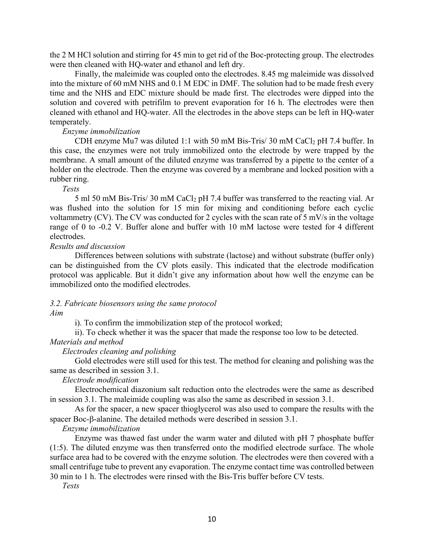the 2 M HCl solution and stirring for 45 min to get rid of the Boc-protecting group. The electrodes were then cleaned with HQ-water and ethanol and left dry.

Finally, the maleimide was coupled onto the electrodes. 8.45 mg maleimide was dissolved into the mixture of 60 mM NHS and 0.1 M EDC in DMF. The solution had to be made fresh every time and the NHS and EDC mixture should be made first. The electrodes were dipped into the solution and covered with petrifilm to prevent evaporation for 16 h. The electrodes were then cleaned with ethanol and HQ-water. All the electrodes in the above steps can be left in HQ-water temperately.

#### *Enzyme immobilization*

CDH enzyme Mu7 was diluted 1:1 with 50 mM Bis-Tris/ 30 mM CaCl<sub>2</sub> pH 7.4 buffer. In this case, the enzymes were not truly immobilized onto the electrode by were trapped by the membrane. A small amount of the diluted enzyme was transferred by a pipette to the center of a holder on the electrode. Then the enzyme was covered by a membrane and locked position with a rubber ring.

*Tests*

5 ml 50 mM Bis-Tris/ 30 mM CaCl<sub>2</sub> pH 7.4 buffer was transferred to the reacting vial. Ar was flushed into the solution for 15 min for mixing and conditioning before each cyclic voltammetry (CV). The CV was conducted for 2 cycles with the scan rate of 5 mV/s in the voltage range of 0 to -0.2 V. Buffer alone and buffer with 10 mM lactose were tested for 4 different electrodes.

#### *Results and discussion*

Differences between solutions with substrate (lactose) and without substrate (buffer only) can be distinguished from the CV plots easily. This indicated that the electrode modification protocol was applicable. But it didn't give any information about how well the enzyme can be immobilized onto the modified electrodes.

# *3.2. Fabricate biosensors using the same protocol*

*Aim*

i). To confirm the immobilization step of the protocol worked;

ii). To check whether it was the spacer that made the response too low to be detected.

#### *Materials and method*

### *Electrodes cleaning and polishing*

Gold electrodes were still used for this test. The method for cleaning and polishing was the same as described in session 3.1.

#### *Electrode modification*

Electrochemical diazonium salt reduction onto the electrodes were the same as described in session 3.1. The maleimide coupling was also the same as described in session 3.1.

As for the spacer, a new spacer thioglycerol was also used to compare the results with the spacer Boc- $\beta$ -alanine. The detailed methods were described in session 3.1.

# *Enzyme immobilization*

Enzyme was thawed fast under the warm water and diluted with pH 7 phosphate buffer (1:5). The diluted enzyme was then transferred onto the modified electrode surface. The whole surface area had to be covered with the enzyme solution. The electrodes were then covered with a small centrifuge tube to prevent any evaporation. The enzyme contact time was controlled between 30 min to 1 h. The electrodes were rinsed with the Bis-Tris buffer before CV tests.

*Tests*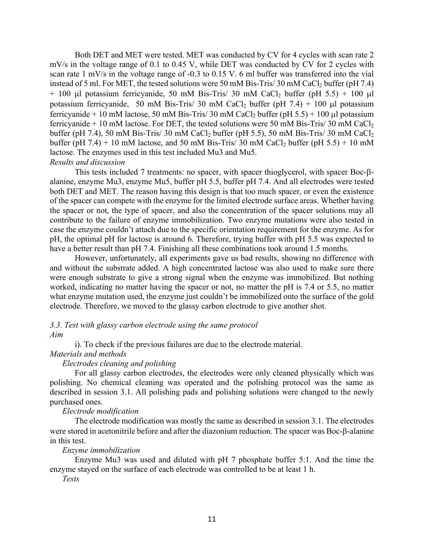Both DET and MET were tested. MET was conducted by CV for 4 cycles with scan rate 2 mV/s in the voltage range of 0.1 to 0.45 V, while DET was conducted by CV for 2 cycles with scan rate 1 mV/s in the voltage range of -0.3 to 0.15 V. 6 ml buffer was transferred into the vial instead of 5 ml. For MET, the tested solutions were 50 mM Bis-Tris/ 30 mM CaCl<sub>2</sub> buffer (pH 7.4)  $+$  100 µl potassium ferricyanide, 50 mM Bis-Tris/ 30 mM CaCl<sub>2</sub> buffer (pH 5.5)  $+$  100 µl potassium ferricyanide, 50 mM Bis-Tris/ 30 mM CaCl<sub>2</sub> buffer (pH 7.4) + 100 µl potassium ferricyanide + 10 mM lactose, 50 mM Bis-Tris/ 30 mM CaCl<sub>2</sub> buffer (pH 5.5) + 100 µl potassium ferricyanide  $+10$  mM lactose. For DET, the tested solutions were 50 mM Bis-Tris/ 30 mM CaCl<sub>2</sub> buffer (pH 7.4), 50 mM Bis-Tris/ 30 mM CaCl<sub>2</sub> buffer (pH 5.5), 50 mM Bis-Tris/ 30 mM CaCl<sub>2</sub> buffer (pH 7.4) + 10 mM lactose, and 50 mM Bis-Tris/ 30 mM CaCl<sub>2</sub> buffer (pH 5.5) + 10 mM lactose. The enzymes used in this test included Mu3 and Mu5. *Results and discussion*

This tests included 7 treatments: no spacer, with spacer thioglycerol, with spacer Boc-balanine, enzyme Mu3, enzyme Mu5, buffer pH 5.5, buffer pH 7.4. And all electrodes were tested both DET and MET. The reason having this design is that too much spacer, or even the existence of the spacer can compete with the enzyme for the limited electrode surface areas. Whether having the spacer or not, the type of spacer, and also the concentration of the spacer solutions may all contribute to the failure of enzyme immobilization. Two enzyme mutations were also tested in case the enzyme couldn't attach due to the specific orientation requirement for the enzyme. As for pH, the optimal pH for lactose is around 6. Therefore, trying buffer with pH 5.5 was expected to have a better result than pH 7.4. Finishing all these combinations took around 1.5 months.

However, unfortunately, all experiments gave us bad results, showing no difference with and without the substrate added. A high concentrated lactose was also used to make sure there were enough substrate to give a strong signal when the enzyme was immobilized. But nothing worked, indicating no matter having the spacer or not, no matter the pH is 7.4 or 5.5, no matter what enzyme mutation used, the enzyme just couldn't be immobilized onto the surface of the gold electrode. Therefore, we moved to the glassy carbon electrode to give another shot.

## *3.3. Test with glassy carbon electrode using the same protocol Aim*

i). To check if the previous failures are due to the electrode material.

# *Materials and methods*

*Electrodes cleaning and polishing*

For all glassy carbon electrodes, the electrodes were only cleaned physically which was polishing. No chemical cleaning was operated and the polishing protocol was the same as described in session 3.1. All polishing pads and polishing solutions were changed to the newly purchased ones.

# *Electrode modification*

The electrode modification was mostly the same as described in session 3.1. The electrodes were stored in acetonitrile before and after the diazonium reduction. The spacer was Boc- $\beta$ -alanine in this test.

## *Enzyme immobilization*

Enzyme Mu3 was used and diluted with pH 7 phosphate buffer 5:1. And the time the enzyme stayed on the surface of each electrode was controlled to be at least 1 h.

*Tests*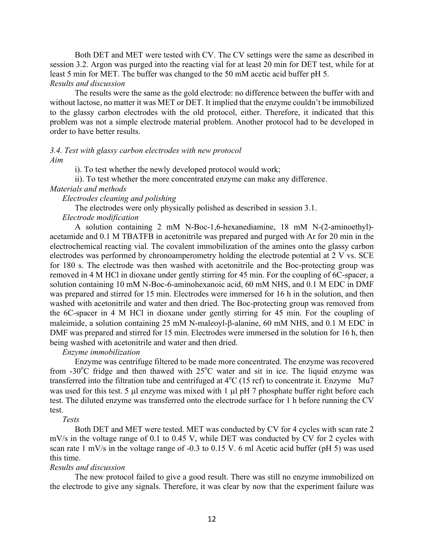Both DET and MET were tested with CV. The CV settings were the same as described in session 3.2. Argon was purged into the reacting vial for at least 20 min for DET test, while for at least 5 min for MET. The buffer was changed to the 50 mM acetic acid buffer pH 5. *Results and discussion*

The results were the same as the gold electrode: no difference between the buffer with and without lactose, no matter it was MET or DET. It implied that the enzyme couldn't be immobilized to the glassy carbon electrodes with the old protocol, either. Therefore, it indicated that this problem was not a simple electrode material problem. Another protocol had to be developed in order to have better results.

### *3.4. Test with glassy carbon electrodes with new protocol Aim*

i). To test whether the newly developed protocol would work;

ii). To test whether the more concentrated enzyme can make any difference.

*Materials and methods*

*Electrodes cleaning and polishing*

The electrodes were only physically polished as described in session 3.1.

## *Electrode modification*

A solution containing 2 mM N-Boc-1,6-hexanediamine, 18 mM N-(2-aminoethyl) acetamide and 0.1 M TBATFB in acetonitrile was prepared and purged with Ar for 20 min in the electrochemical reacting vial. The covalent immobilization of the amines onto the glassy carbon electrodes was performed by chronoamperometry holding the electrode potential at 2 V vs. SCE for 180 s. The electrode was then washed with acetonitrile and the Boc-protecting group was removed in 4 M HCl in dioxane under gently stirring for 45 min. For the coupling of 6C-spacer, a solution containing 10 mM N-Boc-6-aminohexanoic acid, 60 mM NHS, and 0.1 M EDC in DMF was prepared and stirred for 15 min. Electrodes were immersed for 16 h in the solution, and then washed with acetonitrile and water and then dried. The Boc-protecting group was removed from the 6C-spacer in 4 M HCl in dioxane under gently stirring for 45 min. For the coupling of maleimide, a solution containing 25 mM N-maleoyl-β-alanine, 60 mM NHS, and 0.1 M EDC in DMF was prepared and stirred for 15 min. Electrodes were immersed in the solution for 16 h, then being washed with acetonitrile and water and then dried.

## *Enzyme immobilization*

Enzyme was centrifuge filtered to be made more concentrated. The enzyme was recovered from  $-30^{\circ}$ C fridge and then thawed with  $25^{\circ}$ C water and sit in ice. The liquid enzyme was transferred into the filtration tube and centrifuged at  $4^{\circ}$ C (15 rcf) to concentrate it. Enzyme Mu7 was used for this test. 5 µl enzyme was mixed with 1 µl pH 7 phosphate buffer right before each test. The diluted enzyme was transferred onto the electrode surface for 1 h before running the CV test.

*Tests*

Both DET and MET were tested. MET was conducted by CV for 4 cycles with scan rate 2 mV/s in the voltage range of 0.1 to 0.45 V, while DET was conducted by CV for 2 cycles with scan rate 1 mV/s in the voltage range of -0.3 to 0.15 V. 6 ml Acetic acid buffer (pH 5) was used this time.

## *Results and discussion*

The new protocol failed to give a good result. There was still no enzyme immobilized on the electrode to give any signals. Therefore, it was clear by now that the experiment failure was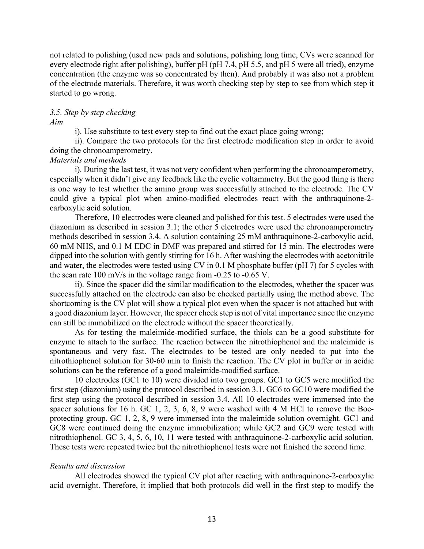not related to polishing (used new pads and solutions, polishing long time, CVs were scanned for every electrode right after polishing), buffer pH (pH 7.4, pH 5.5, and pH 5 were all tried), enzyme concentration (the enzyme was so concentrated by then). And probably it was also not a problem of the electrode materials. Therefore, it was worth checking step by step to see from which step it started to go wrong.

# *3.5. Step by step checking*

*Aim*

i). Use substitute to test every step to find out the exact place going wrong;

ii). Compare the two protocols for the first electrode modification step in order to avoid doing the chronoamperometry.

## *Materials and methods*

i). During the last test, it was not very confident when performing the chronoamperometry, especially when it didn't give any feedback like the cyclic voltammetry. But the good thing is there is one way to test whether the amino group was successfully attached to the electrode. The CV could give a typical plot when amino-modified electrodes react with the anthraquinone-2 carboxylic acid solution.

Therefore, 10 electrodes were cleaned and polished for this test. 5 electrodes were used the diazonium as described in session 3.1; the other 5 electrodes were used the chronoamperometry methods described in session 3.4. A solution containing 25 mM anthraquinone-2-carboxylic acid, 60 mM NHS, and 0.1 M EDC in DMF was prepared and stirred for 15 min. The electrodes were dipped into the solution with gently stirring for 16 h. After washing the electrodes with acetonitrile and water, the electrodes were tested using CV in 0.1 M phosphate buffer (pH 7) for 5 cycles with the scan rate 100 mV/s in the voltage range from -0.25 to -0.65 V.

ii). Since the spacer did the similar modification to the electrodes, whether the spacer was successfully attached on the electrode can also be checked partially using the method above. The shortcoming is the CV plot will show a typical plot even when the spacer is not attached but with a good diazonium layer. However, the spacer check step is not of vital importance since the enzyme can still be immobilized on the electrode without the spacer theoretically.

As for testing the maleimide-modified surface, the thiols can be a good substitute for enzyme to attach to the surface. The reaction between the nitrothiophenol and the maleimide is spontaneous and very fast. The electrodes to be tested are only needed to put into the nitrothiophenol solution for 30-60 min to finish the reaction. The CV plot in buffer or in acidic solutions can be the reference of a good maleimide-modified surface.

10 electrodes (GC1 to 10) were divided into two groups. GC1 to GC5 were modified the first step (diazonium) using the protocol described in session 3.1. GC6 to GC10 were modified the first step using the protocol described in session 3.4. All 10 electrodes were immersed into the spacer solutions for 16 h. GC 1, 2, 3, 6, 8, 9 were washed with 4 M HCl to remove the Bocprotecting group. GC 1, 2, 8, 9 were immersed into the maleimide solution overnight. GC1 and GC8 were continued doing the enzyme immobilization; while GC2 and GC9 were tested with nitrothiophenol. GC 3, 4, 5, 6, 10, 11 were tested with anthraquinone-2-carboxylic acid solution. These tests were repeated twice but the nitrothiophenol tests were not finished the second time.

# *Results and discussion*

All electrodes showed the typical CV plot after reacting with anthraquinone-2-carboxylic acid overnight. Therefore, it implied that both protocols did well in the first step to modify the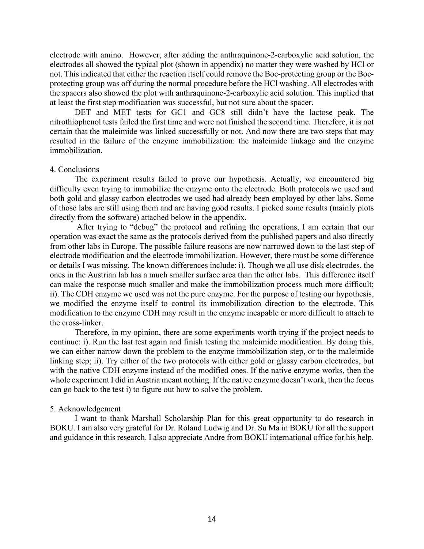electrode with amino. However, after adding the anthraquinone-2-carboxylic acid solution, the electrodes all showed the typical plot (shown in appendix) no matter they were washed by HCl or not. This indicated that either the reaction itself could remove the Boc-protecting group or the Bocprotecting group was off during the normal procedure before the HCl washing. All electrodes with the spacers also showed the plot with anthraquinone-2-carboxylic acid solution. This implied that at least the first step modification was successful, but not sure about the spacer.

DET and MET tests for GC1 and GC8 still didn't have the lactose peak. The nitrothiophenol tests failed the first time and were not finished the second time. Therefore, it is not certain that the maleimide was linked successfully or not. And now there are two steps that may resulted in the failure of the enzyme immobilization: the maleimide linkage and the enzyme immobilization.

#### 4. Conclusions

The experiment results failed to prove our hypothesis. Actually, we encountered big difficulty even trying to immobilize the enzyme onto the electrode. Both protocols we used and both gold and glassy carbon electrodes we used had already been employed by other labs. Some of those labs are still using them and are having good results. I picked some results (mainly plots directly from the software) attached below in the appendix.

After trying to "debug" the protocol and refining the operations, I am certain that our operation was exact the same as the protocols derived from the published papers and also directly from other labs in Europe. The possible failure reasons are now narrowed down to the last step of electrode modification and the electrode immobilization. However, there must be some difference or details I was missing. The known differences include: i). Though we all use disk electrodes, the ones in the Austrian lab has a much smaller surface area than the other labs. This difference itself can make the response much smaller and make the immobilization process much more difficult; ii). The CDH enzyme we used was not the pure enzyme. For the purpose of testing our hypothesis, we modified the enzyme itself to control its immobilization direction to the electrode. This modification to the enzyme CDH may result in the enzyme incapable or more difficult to attach to the cross-linker.

Therefore, in my opinion, there are some experiments worth trying if the project needs to continue: i). Run the last test again and finish testing the maleimide modification. By doing this, we can either narrow down the problem to the enzyme immobilization step, or to the maleimide linking step; ii). Try either of the two protocols with either gold or glassy carbon electrodes, but with the native CDH enzyme instead of the modified ones. If the native enzyme works, then the whole experiment I did in Austria meant nothing. If the native enzyme doesn't work, then the focus can go back to the test i) to figure out how to solve the problem.

#### 5. Acknowledgement

I want to thank Marshall Scholarship Plan for this great opportunity to do research in BOKU. I am also very grateful for Dr. Roland Ludwig and Dr. Su Ma in BOKU for all the support and guidance in this research. I also appreciate Andre from BOKU international office for his help.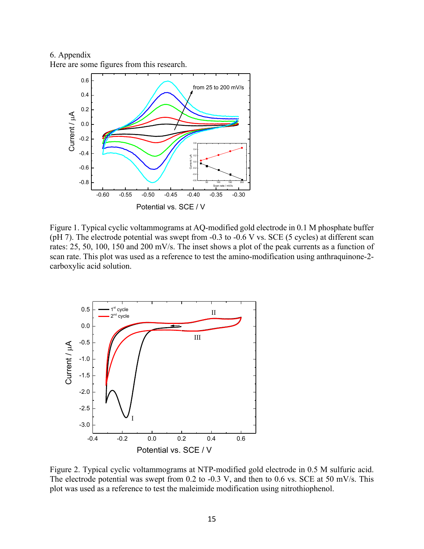6. Appendix Here are some figures from this research.



Figure 1. Typical cyclic voltammograms at AQ-modified gold electrode in 0.1 M phosphate buffer (pH 7). The electrode potential was swept from -0.3 to -0.6 V vs. SCE (5 cycles) at different scan rates: 25, 50, 100, 150 and 200 mV/s. The inset shows a plot of the peak currents as a function of scan rate. This plot was used as a reference to test the amino-modification using anthraquinone-2 carboxylic acid solution.



Figure 2. Typical cyclic voltammograms at NTP-modified gold electrode in 0.5 M sulfuric acid. The electrode potential was swept from 0.2 to -0.3 V, and then to 0.6 vs. SCE at 50 mV/s. This plot was used as a reference to test the maleimide modification using nitrothiophenol.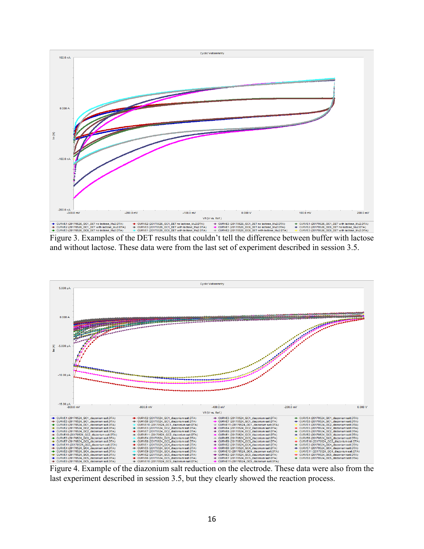

Figure 3. Examples of the DET results that couldn't tell the difference between buffer with lactose and without lactose. These data were from the last set of experiment described in session 3.5.



last experiment described in session 3.5, but they clearly showed the reaction process.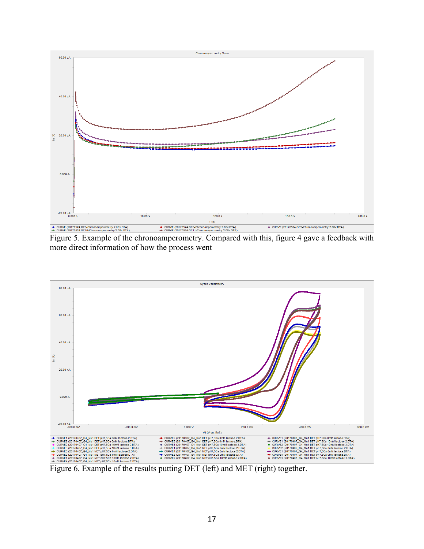

Figure 5. Example of the chronoamperometry. Compared with this, figure 4 gave a feedback with more direct information of how the process went

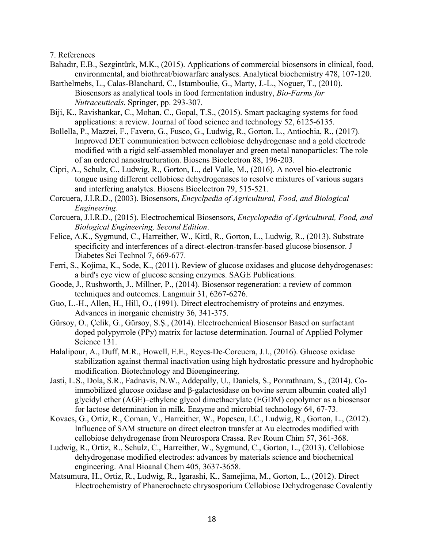7. References

- Bahadır, E.B., Sezgintürk, M.K., (2015). Applications of commercial biosensors in clinical, food, environmental, and biothreat/biowarfare analyses. Analytical biochemistry 478, 107-120.
- Barthelmebs, L., Calas-Blanchard, C., Istamboulie, G., Marty, J.-L., Noguer, T., (2010). Biosensors as analytical tools in food fermentation industry, *Bio-Farms for Nutraceuticals*. Springer, pp. 293-307.
- Biji, K., Ravishankar, C., Mohan, C., Gopal, T.S., (2015). Smart packaging systems for food applications: a review. Journal of food science and technology 52, 6125-6135.
- Bollella, P., Mazzei, F., Favero, G., Fusco, G., Ludwig, R., Gorton, L., Antiochia, R., (2017). Improved DET communication between cellobiose dehydrogenase and a gold electrode modified with a rigid self-assembled monolayer and green metal nanoparticles: The role of an ordered nanostructuration. Biosens Bioelectron 88, 196-203.
- Cipri, A., Schulz, C., Ludwig, R., Gorton, L., del Valle, M., (2016). A novel bio-electronic tongue using different cellobiose dehydrogenases to resolve mixtures of various sugars and interfering analytes. Biosens Bioelectron 79, 515-521.
- Corcuera, J.I.R.D., (2003). Biosensors, *Encyclpedia of Agricultural, Food, and Biological Engineering*.
- Corcuera, J.I.R.D., (2015). Electrochemical Biosensors, *Encyclopedia of Agricultural, Food, and Biological Engineering, Second Edition*.
- Felice, A.K., Sygmund, C., Harreither, W., Kittl, R., Gorton, L., Ludwig, R., (2013). Substrate specificity and interferences of a direct-electron-transfer-based glucose biosensor. J Diabetes Sci Technol 7, 669-677.
- Ferri, S., Kojima, K., Sode, K., (2011). Review of glucose oxidases and glucose dehydrogenases: a bird's eye view of glucose sensing enzymes. SAGE Publications.
- Goode, J., Rushworth, J., Millner, P., (2014). Biosensor regeneration: a review of common techniques and outcomes. Langmuir 31, 6267-6276.
- Guo, L.-H., Allen, H., Hill, O., (1991). Direct electrochemistry of proteins and enzymes. Advances in inorganic chemistry 36, 341-375.
- Gürsoy, O., Çelik, G., Gürsoy, S.Ş., (2014). Electrochemical Biosensor Based on surfactant doped polypyrrole (PPy) matrix for lactose determination. Journal of Applied Polymer Science 131.
- Halalipour, A., Duff, M.R., Howell, E.E., Reyes-De-Corcuera, J.I., (2016). Glucose oxidase stabilization against thermal inactivation using high hydrostatic pressure and hydrophobic modification. Biotechnology and Bioengineering.
- Jasti, L.S., Dola, S.R., Fadnavis, N.W., Addepally, U., Daniels, S., Ponrathnam, S., (2014). Coimmobilized glucose oxidase and β-galactosidase on bovine serum albumin coated allyl glycidyl ether (AGE)–ethylene glycol dimethacrylate (EGDM) copolymer as a biosensor for lactose determination in milk. Enzyme and microbial technology 64, 67-73.
- Kovacs, G., Ortiz, R., Coman, V., Harreither, W., Popescu, I.C., Ludwig, R., Gorton, L., (2012). Influence of SAM structure on direct electron transfer at Au electrodes modified with cellobiose dehydrogenase from Neurospora Crassa. Rev Roum Chim 57, 361-368.
- Ludwig, R., Ortiz, R., Schulz, C., Harreither, W., Sygmund, C., Gorton, L., (2013). Cellobiose dehydrogenase modified electrodes: advances by materials science and biochemical engineering. Anal Bioanal Chem 405, 3637-3658.
- Matsumura, H., Ortiz, R., Ludwig, R., Igarashi, K., Samejima, M., Gorton, L., (2012). Direct Electrochemistry of Phanerochaete chrysosporium Cellobiose Dehydrogenase Covalently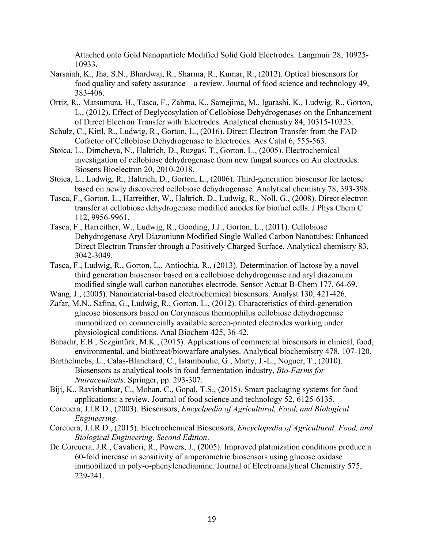Attached onto Gold Nanoparticle Modified Solid Gold Electrodes. Langmuir 28, 10925- 10933.

- Narsaiah, K., Jha, S.N., Bhardwaj, R., Sharma, R., Kumar, R., (2012). Optical biosensors for food quality and safety assurance—a review. Journal of food science and technology 49, 383-406.
- Ortiz, R., Matsumura, H., Tasca, F., Zahma, K., Samejima, M., Igarashi, K., Ludwig, R., Gorton, L., (2012). Effect of Deglycosylation of Cellobiose Dehydrogenases on the Enhancement of Direct Electron Transfer with Electrodes. Analytical chemistry 84, 10315-10323.
- Schulz, C., Kittl, R., Ludwig, R., Gorton, L., (2016). Direct Electron Transfer from the FAD Cofactor of Cellobiose Dehydrogenase to Electrodes. Acs Catal 6, 555-563.
- Stoica, L., Dimcheva, N., Haltrich, D., Ruzgas, T., Gorton, L., (2005). Electrochemical investigation of cellobiose dehydrogenase from new fungal sources on Au electrodes. Biosens Bioelectron 20, 2010-2018.
- Stoica, L., Ludwig, R., Haltrich, D., Gorton, L., (2006). Third-generation biosensor for lactose based on newly discovered cellobiose dehydrogenase. Analytical chemistry 78, 393-398.
- Tasca, F., Gorton, L., Harreither, W., Haltrich, D., Ludwig, R., Noll, G., (2008). Direct electron transfer at cellobiose dehydrogenase modified anodes for biofuel cells. J Phys Chem C 112, 9956-9961.
- Tasca, F., Harreither, W., Ludwig, R., Gooding, J.J., Gorton, L., (2011). Cellobiose Dehydrogenase Aryl Diazoniunn Modified Single Walled Carbon Nanotubes: Enhanced Direct Electron Transfer through a Positively Charged Surface. Analytical chemistry 83, 3042-3049.
- Tasca, F., Ludwig, R., Gorton, L., Antiochia, R., (2013). Determination of lactose by a novel third generation biosensor based on a cellobiose dehydrogenase and aryl diazonium modified single wall carbon nanotubes electrode. Sensor Actuat B-Chem 177, 64-69.
- Wang, J., (2005). Nanomaterial-based electrochemical biosensors. Analyst 130, 421-426.
- Zafar, M.N., Safina, G., Ludwig, R., Gorton, L., (2012). Characteristics of third-generation glucose biosensors based on Corynascus thermophilus cellobiose dehydrogenase immobilized on commercially available screen-printed electrodes working under physiological conditions. Anal Biochem 425, 36-42.
- Bahadır, E.B., Sezgintürk, M.K., (2015). Applications of commercial biosensors in clinical, food, environmental, and biothreat/biowarfare analyses. Analytical biochemistry 478, 107-120.
- Barthelmebs, L., Calas-Blanchard, C., Istamboulie, G., Marty, J.-L., Noguer, T., (2010). Biosensors as analytical tools in food fermentation industry, *Bio-Farms for Nutraceuticals*. Springer, pp. 293-307.
- Biji, K., Ravishankar, C., Mohan, C., Gopal, T.S., (2015). Smart packaging systems for food applications: a review. Journal of food science and technology 52, 6125-6135.
- Corcuera, J.I.R.D., (2003). Biosensors, *Encyclpedia of Agricultural, Food, and Biological Engineering*.
- Corcuera, J.I.R.D., (2015). Electrochemical Biosensors, *Encyclopedia of Agricultural, Food, and Biological Engineering, Second Edition*.
- De Corcuera, J.R., Cavalieri, R., Powers, J., (2005). Improved platinization conditions produce a 60-fold increase in sensitivity of amperometric biosensors using glucose oxidase immobilized in poly-o-phenylenediamine. Journal of Electroanalytical Chemistry 575, 229-241.